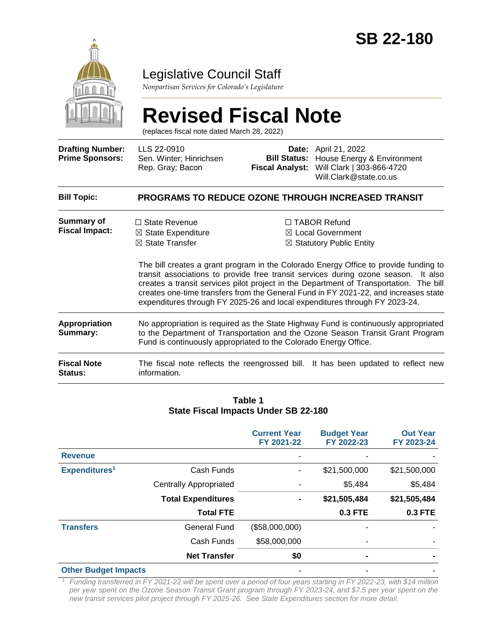

## Legislative Council Staff

*Nonpartisan Services for Colorado's Legislature*

# **Revised Fiscal Note**

(replaces fiscal note dated March 28, 2022)

| <b>Drafting Number:</b><br><b>Prime Sponsors:</b> | LLS 22-0910<br>Sen. Winter; Hinrichsen<br>Rep. Gray; Bacon                                                                                                                                                                                | <b>Bill Status:</b><br><b>Fiscal Analyst:</b> | <b>Date:</b> April 21, 2022<br>House Energy & Environment<br>Will Clark   303-866-4720<br>Will.Clark@state.co.us                                                                                                                                                                                                                                                                                                                                                                                                         |  |  |  |
|---------------------------------------------------|-------------------------------------------------------------------------------------------------------------------------------------------------------------------------------------------------------------------------------------------|-----------------------------------------------|--------------------------------------------------------------------------------------------------------------------------------------------------------------------------------------------------------------------------------------------------------------------------------------------------------------------------------------------------------------------------------------------------------------------------------------------------------------------------------------------------------------------------|--|--|--|
| <b>Bill Topic:</b>                                | <b>PROGRAMS TO REDUCE OZONE THROUGH INCREASED TRANSIT</b>                                                                                                                                                                                 |                                               |                                                                                                                                                                                                                                                                                                                                                                                                                                                                                                                          |  |  |  |
| Summary of<br><b>Fiscal Impact:</b>               | $\Box$ State Revenue<br>$\boxtimes$ State Expenditure<br>$\boxtimes$ State Transfer                                                                                                                                                       |                                               | □ TABOR Refund<br>⊠ Local Government<br>$\boxtimes$ Statutory Public Entity<br>The bill creates a grant program in the Colorado Energy Office to provide funding to<br>transit associations to provide free transit services during ozone season. It also<br>creates a transit services pilot project in the Department of Transportation. The bill<br>creates one-time transfers from the General Fund in FY 2021-22, and increases state<br>expenditures through FY 2025-26 and local expenditures through FY 2023-24. |  |  |  |
| Appropriation<br>Summary:                         | No appropriation is required as the State Highway Fund is continuously appropriated<br>to the Department of Transportation and the Ozone Season Transit Grant Program<br>Fund is continuously appropriated to the Colorado Energy Office. |                                               |                                                                                                                                                                                                                                                                                                                                                                                                                                                                                                                          |  |  |  |
| <b>Fiscal Note</b><br><b>Status:</b>              | information.                                                                                                                                                                                                                              |                                               | The fiscal note reflects the reengrossed bill. It has been updated to reflect new                                                                                                                                                                                                                                                                                                                                                                                                                                        |  |  |  |

#### **Table 1 State Fiscal Impacts Under SB 22-180**

|                             |                               | <b>Current Year</b><br>FY 2021-22 | <b>Budget Year</b><br>FY 2022-23 | <b>Out Year</b><br>FY 2023-24 |
|-----------------------------|-------------------------------|-----------------------------------|----------------------------------|-------------------------------|
| <b>Revenue</b>              |                               |                                   |                                  |                               |
| Expenditures <sup>1</sup>   | Cash Funds                    |                                   | \$21,500,000                     | \$21,500,000                  |
|                             | <b>Centrally Appropriated</b> |                                   | \$5,484                          | \$5,484                       |
|                             | <b>Total Expenditures</b>     | $\blacksquare$                    | \$21,505,484                     | \$21,505,484                  |
|                             | <b>Total FTE</b>              |                                   | <b>0.3 FTE</b>                   | <b>0.3 FTE</b>                |
| <b>Transfers</b>            | <b>General Fund</b>           | (\$58,000,000)                    |                                  |                               |
|                             | Cash Funds                    | \$58,000,000                      |                                  |                               |
|                             | <b>Net Transfer</b>           | \$0                               | $\blacksquare$                   |                               |
| <b>Other Budget Impacts</b> |                               |                                   |                                  |                               |

*<sup>1</sup> Funding transferred in FY 2021-22 will be spent over a period of four years starting in FY 2022-23, with \$14 million per year spent on the Ozone Season Transit Grant program through FY 2023-24, and \$7.5 per year spent on the new transit services pilot project through FY 2025-26. See State Expenditures section for more detail.*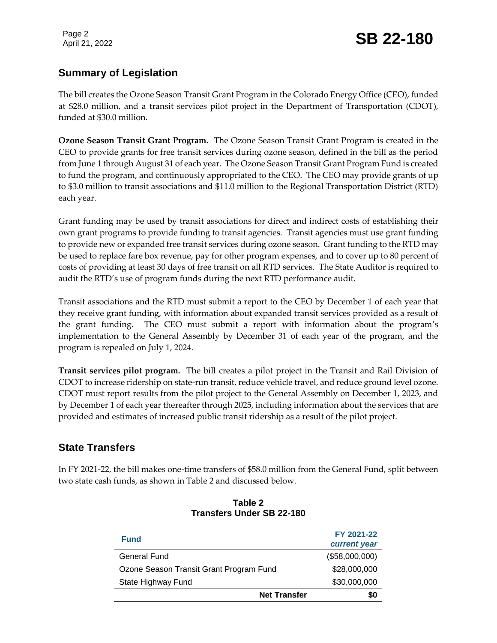Page 2

## Page 2<br>April 21, 2022 **SB 22-180**

## **Summary of Legislation**

The bill creates the Ozone Season Transit Grant Program in the Colorado Energy Office (CEO), funded at \$28.0 million, and a transit services pilot project in the Department of Transportation (CDOT), funded at \$30.0 million.

**Ozone Season Transit Grant Program.** The Ozone Season Transit Grant Program is created in the CEO to provide grants for free transit services during ozone season, defined in the bill as the period from June 1 through August 31 of each year. The Ozone Season Transit Grant Program Fund is created to fund the program, and continuously appropriated to the CEO. The CEO may provide grants of up to \$3.0 million to transit associations and \$11.0 million to the Regional Transportation District (RTD) each year.

Grant funding may be used by transit associations for direct and indirect costs of establishing their own grant programs to provide funding to transit agencies. Transit agencies must use grant funding to provide new or expanded free transit services during ozone season. Grant funding to the RTD may be used to replace fare box revenue, pay for other program expenses, and to cover up to 80 percent of costs of providing at least 30 days of free transit on all RTD services. The State Auditor is required to audit the RTD's use of program funds during the next RTD performance audit.

Transit associations and the RTD must submit a report to the CEO by December 1 of each year that they receive grant funding, with information about expanded transit services provided as a result of the grant funding. The CEO must submit a report with information about the program's implementation to the General Assembly by December 31 of each year of the program, and the program is repealed on July 1, 2024.

**Transit services pilot program.** The bill creates a pilot project in the Transit and Rail Division of CDOT to increase ridership on state-run transit, reduce vehicle travel, and reduce ground level ozone. CDOT must report results from the pilot project to the General Assembly on December 1, 2023, and by December 1 of each year thereafter through 2025, including information about the services that are provided and estimates of increased public transit ridership as a result of the pilot project.

## **State Transfers**

In FY 2021-22, the bill makes one-time transfers of \$58.0 million from the General Fund, split between two state cash funds, as shown in Table 2 and discussed below.

| Transiers Under 3D ZZ-Tou               |                     |                            |
|-----------------------------------------|---------------------|----------------------------|
| <b>Fund</b>                             |                     | FY 2021-22<br>current year |
| General Fund                            |                     | (\$58,000,000)             |
| Ozone Season Transit Grant Program Fund |                     | \$28,000,000               |
| State Highway Fund                      |                     | \$30,000,000               |
|                                         | <b>Net Transfer</b> | SO.                        |

#### **Table 2 Transfers Under SB 22-180**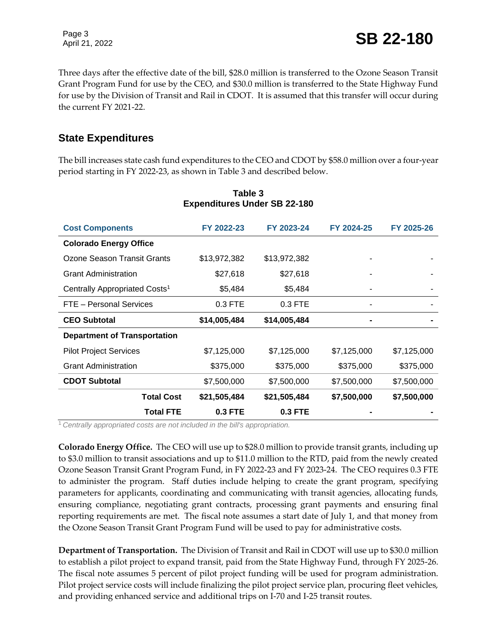Page 3

Three days after the effective date of the bill, \$28.0 million is transferred to the Ozone Season Transit Grant Program Fund for use by the CEO, and \$30.0 million is transferred to the State Highway Fund for use by the Division of Transit and Rail in CDOT. It is assumed that this transfer will occur during the current FY 2021-22.

### **State Expenditures**

The bill increases state cash fund expenditures to the CEO and CDOT by \$58.0 million over a four-year period starting in FY 2022-23, as shown in Table 3 and described below.

| <b>Cost Components</b>                    | FY 2022-23   | FY 2023-24   | FY 2024-25  | FY 2025-26  |
|-------------------------------------------|--------------|--------------|-------------|-------------|
| <b>Colorado Energy Office</b>             |              |              |             |             |
| Ozone Season Transit Grants               | \$13,972,382 | \$13,972,382 |             |             |
| <b>Grant Administration</b>               | \$27,618     | \$27,618     |             |             |
| Centrally Appropriated Costs <sup>1</sup> | \$5,484      | \$5,484      |             |             |
| FTE - Personal Services                   | $0.3$ FTE    | $0.3$ FTE    |             |             |
| <b>CEO Subtotal</b>                       | \$14,005,484 | \$14,005,484 |             |             |
| <b>Department of Transportation</b>       |              |              |             |             |
| <b>Pilot Project Services</b>             | \$7,125,000  | \$7,125,000  | \$7,125,000 | \$7,125,000 |
| <b>Grant Administration</b>               | \$375,000    | \$375,000    | \$375,000   | \$375,000   |
| <b>CDOT Subtotal</b>                      | \$7,500,000  | \$7,500,000  | \$7,500,000 | \$7,500,000 |
| <b>Total Cost</b>                         | \$21,505,484 | \$21,505,484 | \$7,500,000 | \$7,500,000 |
| <b>Total FTE</b>                          | 0.3 FTE      | 0.3 FTE      |             |             |

#### **Table 3 Expenditures Under SB 22-180**

<sup>1</sup>*Centrally appropriated costs are not included in the bill's appropriation.*

**Colorado Energy Office.** The CEO will use up to \$28.0 million to provide transit grants, including up to \$3.0 million to transit associations and up to \$11.0 million to the RTD, paid from the newly created Ozone Season Transit Grant Program Fund, in FY 2022-23 and FY 2023-24. The CEO requires 0.3 FTE to administer the program. Staff duties include helping to create the grant program, specifying parameters for applicants, coordinating and communicating with transit agencies, allocating funds, ensuring compliance, negotiating grant contracts, processing grant payments and ensuring final reporting requirements are met. The fiscal note assumes a start date of July 1, and that money from the Ozone Season Transit Grant Program Fund will be used to pay for administrative costs.

**Department of Transportation.** The Division of Transit and Rail in CDOT will use up to \$30.0 million to establish a pilot project to expand transit, paid from the State Highway Fund, through FY 2025-26. The fiscal note assumes 5 percent of pilot project funding will be used for program administration. Pilot project service costs will include finalizing the pilot project service plan, procuring fleet vehicles, and providing enhanced service and additional trips on I-70 and I-25 transit routes.